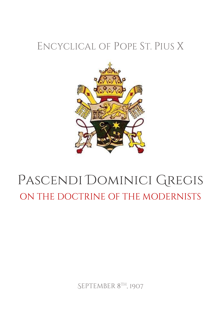## ENCYCLICAL OF POPE ST. PIUS X



## Pascendi Dominici Gregis ON THE DOCTRINE OF THE MODERNISTS

SEPTEMBER 8TH, 1907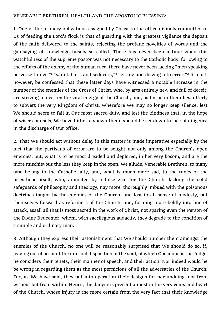## VENERABLE BRETHREN, HEALTH AND THE APOSTOLIC BLESSING:

1. One of the primary obligations assigned by Christ to the office divinely committed to Us of feeding the Lord's flock is that of guarding with the greatest vigilance the deposit of the faith delivered to the saints, rejecting the profane novelties of words and the gainsaying of knowledge falsely so called. There has never been a time when this watchfulness of the supreme pastor was not necessary to the Catholic body, for owing to the efforts of the enemy of the human race, there have never been lacking "men speaking perverse things,"<sup>1</sup> "vain talkers and seducers,"<sup>2</sup> "erring and driving into error."<sup>3</sup> It must, however, be confessed that these latter days have witnessed a notable increase in the number of the enemies of the Cross of Christ, who, by arts entirely new and full of deceit, are striving to destroy the vital energy of the Church, and, as far as in them lies, utterly to subvert the very Kingdom of Christ. Wherefore We may no longer keep silence, lest We should seem to fail in Our most sacred duty, and lest the kindness that, in the hope of wiser counsels, We have hitherto shown them, should be set down to lack of diligence in the discharge of Our office.

2. That We should act without delay in this matter is made imperative especially by the fact that the partisans of error are to be sought not only among the Church's open enemies; but, what is to be most dreaded and deplored, in her very bosom, and are the more mischievous the less they keep in the open. We allude, Venerable Brethren, to many who belong to the Catholic laity, and, what is much more sad, to the ranks of the priesthood itself, who, animated by a false zeal for the Church, lacking the solid safeguards of philosophy and theology, nay more, thoroughly imbued with the poisonous doctrines taught by the enemies of the Church, and lost to all sense of modesty, put themselves forward as reformers of the Church; and, forming more boldly into line of attack, assail all that is most sacred in the work of Christ, not sparing even the Person of the Divine Redeemer, whom, with sacrilegious audacity, they degrade to the condition of a simple and ordinary man.

3. Although they express their astonishment that We should number them amongst the enemies of the Church, no one will be reasonably surprised that We should do so, if, leaving out of account the internal disposition of the soul, of which God alone is the Judge, he considers their tenets, their manner of speech, and their action. Nor indeed would he be wrong in regarding them as the most pernicious of all the adversaries of the Church. For, as We have said, they put into operation their designs for her undoing, not from without but from within. Hence, the danger is present almost in the very veins and heart of the Church, whose injury is the more certain from the very fact that their knowledge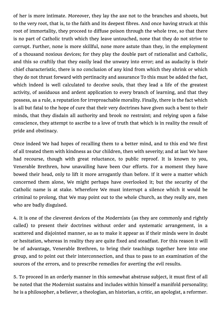of her is more intimate. Moreover, they lay the axe not to the branches and shoots, but to the very root, that is, to the faith and its deepest fibres. And once having struck at this root of immortality, they proceed to diffuse poison through the whole tree, so that there is no part of Catholic truth which they leave untouched, none that they do not strive to corrupt. Further, none is more skillful, none more astute than they, in the employment of a thousand noxious devices; for they play the double part of rationalist and Catholic, and this so craftily that they easily lead the unwary into error; and as audacity is their chief characteristic, there is no conclusion of any kind from which they shrink or which they do not thrust forward with pertinacity and assurance To this must be added the fact, which indeed is well calculated to deceive souls, that they lead a life of the greatest activity, of assiduous and ardent application to every branch of learning, and that they possess, as a rule, a reputation for irreproachable morality. Finally, there is the fact which is all but fatal to the hope of cure that their very doctrines have given such a bent to their minds, that they disdain all authority and brook no restraint; and relying upon a false conscience, they attempt to ascribe to a love of truth that which is in reality the result of pride and obstinacy.

Once indeed We had hopes of recalling them to a better mind, and to this end We first of all treated them with kindness as Our children, then with severity; and at last We have had recourse, though with great reluctance, to public reproof. It is known to you, Venerable Brethren, how unavailing have been Our efforts. For a moment they have bowed their head, only to lift it more arrogantly than before. If it were a matter which concerned them alone, We might perhaps have overlooked it; but the security of the Catholic name is at stake. Wherefore We must interrupt a silence which it would be criminal to prolong, that We may point out to the whole Church, as they really are, men who are badly disguised.

4. It is one of the cleverest devices of the Modernists (as they are commonly and rightly called) to present their doctrines without order and systematic arrangement, in a scattered and disjointed manner, so as to make it appear as if their minds were in doubt or hesitation, whereas in reality they are quite fixed and steadfast. For this reason it will be of advantage, Venerable Brethren, to bring their teachings together here into one group, and to point out their interconnection, and thus to pass to an examination of the sources of the errors, and to prescribe remedies for averting the evil results.

5. To proceed in an orderly manner in this somewhat abstruse subject, it must first of all be noted that the Modernist sustains and includes within himself a manifold personality; he is a philosopher, a believer, a theologian, an historian, a critic, an apologist, a reformer.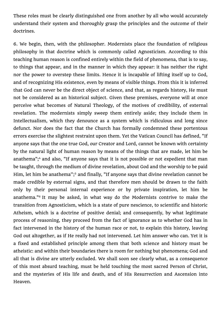These roles must be clearly distinguished one from another by all who would accurately understand their system and thoroughly grasp the principles and the outcome of their doctrines.

6. We begin, then, with the philosopher. Modernists place the foundation of religious philosophy in that doctrine which is commonly called Agnosticism. According to this teaching human reason is confined entirely within the field of phenomena, that is to say, to things that appear, and in the manner in which they appear: it has neither the right nor the power to overstep these limits. Hence it is incapable of lifting itself up to God, and of recognizing His existence, even by means of visible things. From this it is inferred that God can never be the direct object of science, and that, as regards history, He must not be considered as an historical subject. Given these premises, everyone will at once perceive what becomes of Natural Theology, of the motives of credibility, of external revelation. The modernists simply sweep them entirely aside; they include them in Intellectualism, which they denounce as a system which is ridiculous and long since defunct. Nor does the fact that the Church has formally condemned these portentous errors exercise the slightest restraint upon them. Yet the Vatican Council has defined, "If anyone says that the one true God, our Creator and Lord, cannot be known with certainty by the natural light of human reason by means of the things that are made, let him be anathema";<sup>4</sup> and also, "If anyone says that it is not possible or not expedient that man be taught, through the medium of divine revelation, about God and the worship to be paid Him, let him be anathema'';<sup>5</sup> and finally, "If anyone says that divine revelation cannot be made credible by external signs, and that therefore men should be drawn to the faith only by their personal internal experience or by private inspiration, let him be anathema."<sup>6</sup> It may be asked, in what way do the Modernists contrive to make the transition from Agnosticism, which is a state of pure nescience, to scientific and historic Atheism, which is a doctrine of positive denial; and consequently, by what legitimate process of reasoning, they proceed from the fact of ignorance as to whether God has in fact intervened in the history of the human race or not, to explain this history, leaving God out altogether, as if He really had not intervened. Let him answer who can. Yet it is a fixed and established principle among them that both science and history must be atheistic: and within their boundaries there is room for nothing but phenomena; God and all that is divine are utterly excluded. We shall soon see clearly what, as a consequence of this most absurd teaching, must be held touching the most sacred Person of Christ, and the mysteries of His life and death, and of His Resurrection and Ascension into Heaven.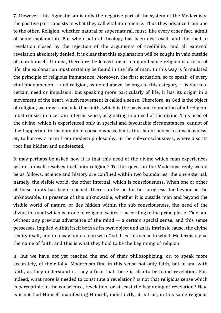7. However, this Agnosticism is only the negative part of the system of the Modernists: the positive part consists in what they call vital immanence. Thus they advance from one to the other. Religion, whether natural or supernatural, must, like every other fact, admit of some explanation. But when natural theology has been destroyed, and the road to revelation closed by the rejection of the arguments of credibility, and all external revelation absolutely denied, it is clear that this explanation will be sought in vain outside of man himself. It must, therefore, be looked for in man; and since religion is a form of life, the explanation must certainly be found in the life of man. In this way is formulated the principle of religious immanence. Moreover, the first actuation, so to speak, of every vital phenomenon -- and religion, as noted above, belongs to this category -- is due to a certain need or impulsion; but speaking more particularly of life, it has its origin in a movement of the heart, which movement is called a sense. Therefore, as God is the object of religion, we must conclude that faith, which is the basis and foundation of all religion, must consist in a certain interior sense, originating in a need of the divine. This need of the divine, which is experienced only in special and favourable circumstances, cannot of itself appertain to the domain of consciousness, but is first latent beneath consciousness, or, to borrow a term from modern philosophy, in the sub-consciousness, where also its root lies hidden and undetected.

It may perhaps be asked how it is that this need of the divine which man experiences within himself resolves itself into religion? To this question the Modernist reply would be as follows: Science and history are confined within two boundaries, the one external, namely, the visible world, the other internal, which is consciousness. When one or other of these limits has been reached, there can be no further progress, for beyond is the unknowable. In presence of this unknowable, whether it is outside man and beyond the visible world of nature, or lies hidden within the sub-consciousness, the need of the divine in a soul which is prone to religion excites -- according to the principles of Fideism, without any previous advertence of the mind -- a certain special sense, and this sense possesses, implied within itself both as its own object and as its intrinsic cause, the divine reality itself, and in a way unites man with God. It is this sense to which Modernists give the name of faith, and this is what they hold to be the beginning of religion.

8. But we have not yet reached the end of their philosophizing, or, to speak more accurately, of their folly. Modernists find in this sense not only faith, but in and with faith, as they understand it, they affirm that there is also to be found revelation. For, indeed, what more is needed to constitute a revelation? Is not that religious sense which is perceptible in the conscience, revelation, or at least the beginning of revelation? Nay, is it not God Himself manifesting Himself, indistinctly, it is true, in this same religious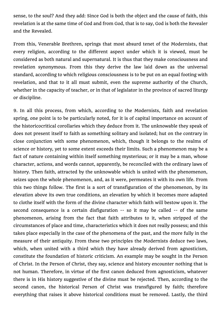sense, to the soul? And they add: Since God is both the object and the cause of faith, this revelation is at the same time of God and from God, that is to say, God is both the Revealer and the Revealed.

From this, Venerable Brethren, springs that most absurd tenet of the Modernists, that every religion, according to the different aspect under which it is viewed, must be considered as both natural and supernatural. It is thus that they make consciousness and revelation synonymous. From this they derive the law laid down as the universal standard, according to which religious consciousness is to be put on an equal footing with revelation, and that to it all must submit, even the supreme authority of the Church, whether in the capacity of teacher, or in that of legislator in the province of sacred liturgy or discipline.

9. In all this process, from which, according to the Modernists, faith and revelation spring, one point is to be particularly noted, for it is of capital importance on account of the historicocritical corollaries which they deduce from it. The unknowable they speak of does not present itself to faith as something solitary and isolated; hut on the contrary in close conjunction with some phenomenon, which, though it belongs to the realms of science or history, yet to some extent exceeds their limits. Such a phenomenon may be a fact of nature containing within itself something mysterious; or it may be a man, whose character, actions, and words cannot, apparently, be reconciled with the ordinary laws of history. Then faith, attracted by the unknowable which is united with the phenomenon, seizes upon the whole phenomenon, and, as it were, permeates it with its own life. From this two things follow. The first is a sort of transfiguration of the phenomenon, by its elevation above its own true conditions, an elevation by which it becomes more adapted to clothe itself with the form of the divine character which faith will bestow upon it. The second consequence is a certain disfiguration -- so it may be called -- of the same phenomenon, arising from the fact that faith attributes to it, when stripped of the circumstances of place and time, characteristics which it does not really possess; and this takes place especially in the case of the phenomena of the past, and the more fully in the measure of their antiquity. From these two principles the Modernists deduce two laws, which, when united with a third which they have already derived from agnosticism, constitute the foundation of historic criticism. An example may be sought in the Person of Christ. In the Person of Christ, they say, science and history encounter nothing that is not human. Therefore, in virtue of the first canon deduced from agnosticism, whatever there is in His history suggestive of the divine must be rejected. Then, according to the second canon, the historical Person of Christ was transfigured by faith; therefore everything that raises it above historical conditions must be removed. Lastly, the third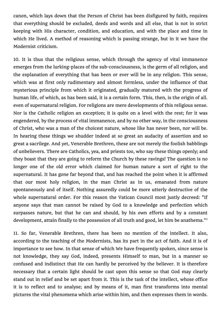canon, which lays down that the Person of Christ has been disfigured by faith, requires that everything should be excluded, deeds and words and all else, that is not in strict keeping with His character, condition, and education, and with the place and time in which He lived. A method of reasoning which is passing strange, but in it we have the Modernist criticism.

10. It is thus that the religious sense, which through the agency of vital immanence emerges from the lurking-places of the sub-consciousness, is the germ of all religion, and the explanation of everything that has been or ever will be in any religion. This sense, which was at first only rudimentary and almost formless, under the influence of that mysterious principle from which it originated, gradually matured with the progress of human life, of which, as has been said, it is a certain form. This, then, is the origin of all. even of supernatural religion. For religions are mere developments of this religious sense. Nor is the Catholic religion an exception; it is quite on a level with the rest; for it was engendered, by the process of vital immanence, and by no other way, in the consciousness of Christ, who was a man of the choicest nature, whose like has never been, nor will be. In hearing these things we shudder indeed at so great an audacity of assertion and so great a sacrilege. And yet, Venerable Brethren, these are not merely the foolish babblings of unbelievers. There are Catholics, yea, and priests too, who say these things openly; and they boast that they are going to reform the Church by these ravings! The question is no longer one of the old error which claimed for human nature a sort of right to the supernatural. It has gone far beyond that, and has reached the point when it is affirmed that our most holy religion, in the man Christ as in us, emanated from nature spontaneously and of itself. Nothing assuredly could be more utterly destructive of the whole supernatural order. For this reason the Vatican Council most justly decreed: "If anyone says that man cannot be raised by God to a knowledge and perfection which surpasses nature, but that he can and should, by his own efforts and by a constant development, attain finally to the possession of all truth and good, let him be anathema."<sup>7</sup>

11. So far, Venerable Brethren, there has been no mention of the intellect. It also, according to the teaching of the Modernists, has its part in the act of faith. And it is of importance to see how. In that sense of which We have frequently spoken, since sense is not knowledge, they say God, indeed, presents Himself to man, but in a manner so confused and indistinct that He can hardly be perceived by the believer. It is therefore necessary that a certain light should be cast upon this sense so that God may clearly stand out in relief and be set apart from it. This is the task of the intellect, whose office it is to reflect and to analyse; and by means of it, man first transforms into mental pictures the vital phenomena which arise within him, and then expresses them in words.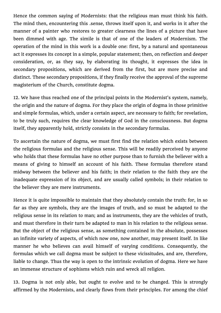Hence the common saying of Modernists: that the religious man must think his faith. The mind then, encountering this .sense, throws itself upon it, and works in it after the manner of a painter who restores to greater clearness the lines of a picture that have been dimmed with age. The simile is that of one of the leaders of Modernism. The operation of the mind in this work is a double one: first, by a natural and spontaneous act it expresses its concept in a simple, popular statement; then, on reflection and deeper consideration, or, as they say, by elaborating its thought, it expresses the idea in secondary propositions, which are derived from the first, but are more precise and distinct. These secondary propositions, if they finally receive the approval of the supreme magisterium of the Church, constitute dogma.

12. We have thus reached one of the principal points in the Modernist's system, namely, the origin and the nature of dogma. For they place the origin of dogma in those primitive and simple formulas, which, under a certain aspect, are necessary to faith; for revelation, to be truly such, requires the clear knowledge of God in the consciousness. But dogma itself, they apparently hold, strictly consists in the secondary formulas.

To ascertain the nature of dogma, we must first find the relation which exists between the religious formulas and the religious sense. This will be readily perceived by anyone who holds that these formulas have no other purpose than to furnish the believer with a means of giving to himself an account of his faith. These formulas therefore stand midway between the believer and his faith; in their relation to the faith they are the inadequate expression of its object, and are usually called symbols; in their relation to the believer they are mere instruments.

Hence it is quite impossible to maintain that they absolutely contain the truth: for, in so far as they are symbols, they are the images of truth, and so must be adapted to the religious sense in its relation to man; and as instruments, they are the vehicles of truth, and must therefore in their turn be adapted to man in his relation to the religious sense. But the object of the religious sense, as something contained in the absolute, possesses an infinite variety of aspects, of which now one, now another, may present itself. In like manner he who believes can avail himself of varying conditions. Consequently, the formulas which we call dogma must be subject to these vicissitudes, and are, therefore, liable to change. Thus the way is open to the intrinsic evolution of dogma. Here we have an immense structure of sophisms which ruin and wreck all religion.

13. Dogma is not only able, but ought to evolve and to be changed. This is strongly affirmed by the Modernists, and clearly flows from their principles. For among the chief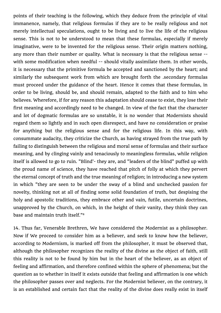points of their teaching is the following, which they deduce from the principle of vital immanence, namely, that religious formulas if they are to be really religious and not merely intellectual speculations, ought to be living and to live the life of the religious sense. This is not to be understood to mean that these formulas, especially if merely imaginative, were to be invented for the religious sense. Their origin matters nothing, any more than their number or quality. What is necessary is that the religious sense - with some modification when needful -- should vitally assimilate them. In other words, it is necessary that the primitive formula be accepted and sanctioned by the heart; and similarly the subsequent work from which are brought forth the .secondary formulas must proceed under the guidance of the heart. Hence it comes that these formulas, in order to be living, should be, and should remain, adapted to the faith and to him who believes. Wherefore, if for any reason this adaptation should cease to exist, they lose their first meaning and accordingly need to be changed. In view of the fact that the character and lot of dogmatic formulas are so unstable, it is no wonder that Modernists should regard them so lightly and in such open disrespect, and have no consideration or praise for anything but the religious sense and for the religious life. In this way, with consummate audacity, they criticize the Church, as having strayed from the true path by failing to distinguish between the religious and moral sense of formulas and their surface meaning, and by clinging vainly and tenaciously to meaningless formulas, while religion itself is allowed to go to ruin. "Blind'- they are, and "leaders of the blind" puffed up with the proud name of science, they have reached that pitch of folly at which they pervert the eternal concept of truth and the true meaning of religion; in introducing a new system in which "they are seen to be under the sway of a blind and unchecked passion for novelty, thinking not at all of finding some solid foundation of truth, but despising the holy and apostolic traditions, they embrace other and vain, futile, uncertain doctrines, unapproved by the Church, on which, in the height of their vanity, they think they can base and maintain truth itself."<sup>8</sup>

14. Thus far, Venerable Brethren, We have considered the Modernist as a philosopher. Now if We proceed to consider him as a believer, and seek to know how the believer, according to Modernism, is marked off from the philosopher, it must be observed that, although the philosopher recognizes the reality of the divine as the object of faith, still this reality is not to be found by him but in the heart of the believer, as an object of feeling and affirmation, and therefore confined within the sphere of phenomena; but the question as to whether in itself it exists outside that feeling and affirmation is one which the philosopher passes over and neglects. For the Modernist believer, on the contrary, it is an established and certain fact that the reality of the divine does really exist in itself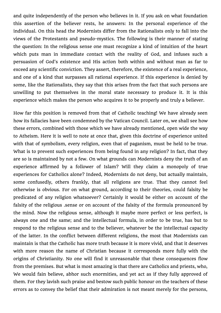and quite independently of the person who believes in it. If you ask on what foundation this assertion of the believer rests, he answers: In the personal experience of the individual. On this head the Modernists differ from the Rationalists only to fall into the views of the Protestants and pseudo-mystics. The following is their manner of stating the question: In the religious sense one must recognize a kind of intuition of the heart which puts man in immediate contact with the reality of God, and infuses such a persuasion of God's existence and His action both within and without man as far to exceed any scientific conviction. They assert, therefore, the existence of a real experience, and one of a kind that surpasses all rational experience. If this experience is denied by some, like the Rationalists, they say that this arises from the fact that such persons are unwilling to put themselves in the moral state necessary to produce it. It is this experience which makes the person who acquires it to be properly and truly a believer.

How far this position is removed from that of Catholic teaching! We have already seen how its fallacies have been condemned by the Vatican Council. Later on, we shall see how these errors, combined with those which we have already mentioned, open wide the way to Atheism. Here it is well to note at once that, given this doctrine of experience united with that of symbolism, every religion, even that of paganism, must be held to be true. What is to prevent such experiences from being found in any religion? In fact, that they are so is maintained by not a few. On what grounds can Modernists deny the truth of an experience affirmed by a follower of Islam? Will they claim a monopoly of true experiences for Catholics alone? Indeed, Modernists do not deny, but actually maintain, some confusedly, others frankly, that all religions are true. That they cannot feel otherwise is obvious. For on what ground, according to their theories, could falsity be predicated of any religion whatsoever? Certainly it would be either on account of the falsity of the religious .sense or on account of the falsity of the formula pronounced by the mind. Now the religious sense, although it maybe more perfect or less perfect, is always one and the same; and the intellectual formula, in order to be true, has but to respond to the religious sense and to the believer, whatever be the intellectual capacity of the latter. In the conflict between different religions, the most that Modernists can maintain is that the Catholic has more truth because it is more vivid, and that it deserves with more reason the name of Christian because it corresponds more fully with the origins of Christianity. No one will find it unreasonable that these consequences flow from the premises. But what is most amazing is that there are Catholics and priests, who, We would fain believe, abhor such enormities, and yet act as if they fully approved of them. For they lavish such praise and bestow such public honour on the teachers of these errors as to convey the belief that their admiration is not meant merely for the persons,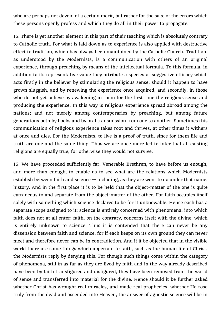who are perhaps not devoid of a certain merit, but rather for the sake of the errors which these persons openly profess and which they do all in their power to propagate.

15. There is yet another element in this part of their teaching which is absolutely contrary to Catholic truth. For what is laid down as to experience is also applied with destructive effect to tradition, which has always been maintained by the Catholic Church. Tradition, as understood by the Modernists, is a communication with others of an original experience, through preaching by means of the intellectual formula. To this formula, in addition to its representative value they attribute a species of suggestive efficacy which acts firstly in the believer by stimulating the religious sense, should it happen to have grown sluggish, and by renewing the experience once acquired, and secondly, in those who do not yet believe by awakening in them for the first time the religious sense and producing the experience. In this way is religious experience spread abroad among the nations; and not merely among contemporaries by preaching, but among future generations both by books and by oral transmission from one to another. Sometimes this communication of religious experience takes root and thrives, at other times it withers at once and dies. For the Modernists, to live is a proof of truth, since for them life and truth are one and the same thing. Thus we are once more led to infer that all existing religions are equally true, for otherwise they would not survive.

16. We have proceeded sufficiently far, Venerable Brethren, to have before us enough, and more than enough, to enable us to see what are the relations which Modernists establish between faith and science -- including, as they are wont to do under that name, history. And in the first place it is to be held that the object-matter of the one is quite extraneous to and separate from the object-matter of the other. For faith occupies itself solely with something which science declares to be for it unknowable. Hence each has a separate scope assigned to it: science is entirely concerned with phenomena, into which faith does not at all enter; faith, on the contrary, concerns itself with the divine, which is entirely unknown to science. Thus it is contended that there can never be any dissension between faith and science, for if each keeps on its own ground they can never meet and therefore never can be in contradiction. And if it be objected that in the visible world there are some things which appertain to faith, such as the human life of Christ, the Modernists reply by denying this. For though such things come within the category of phenomena, still in as far as they are lived by faith and in the way already described have been by faith transfigured and disfigured, they have been removed from the world of sense and transferred into material for the divine. Hence should it be further asked whether Christ has wrought real miracles, and made real prophecies, whether He rose truly from the dead and ascended into Heaven, the answer of agnostic science will be in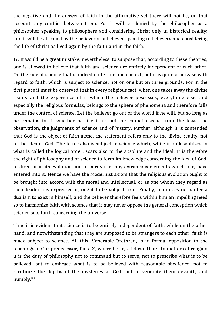the negative and the answer of faith in the affirmative yet there will not be, on that account, any conflict between them. For it will be denied by the philosopher as a philosopher speaking to philosophers and considering Christ only in historical reality; and it will be affirmed by the believer as a believer speaking to believers and considering the life of Christ as lived again by the faith and in the faith.

17. It would be a great mistake, nevertheless, to suppose that, according to these theories, one is allowed to believe that faith and science are entirely independent of each other. On the side of science that is indeed quite true and correct, but it is quite otherwise with regard to faith, which is subject to science, not on one but on three grounds. For in the first place it must be observed that in every religious fact, when one takes away the divine reality and the experience of it which the believer possesses, everything else, and especially the religious formulas, belongs to the sphere of phenomena and therefore falls under the control of science. Let the believer go out of the world if he will, but so long as he remains in it, whether he like it or not, he cannot escape from the laws, the observation, the judgments of science and of history. Further, although it is contended that God is the object of faith alone, the statement refers only to the divine reality, not to the idea of God. The latter also is subject to science which, while it philosophizes in what is called the logical order, soars also to the absolute and the ideal. It is therefore the right of philosophy and of science to form its knowledge concerning the idea of God, to direct it in its evolution and to purify it of any extraneous elements which may have entered into it. Hence we have the Modernist axiom that the religious evolution ought to be brought into accord with the moral and intellectual, or as one whom they regard as their leader has expressed it, ought to be subject to it. Finally, man does not suffer a dualism to exist in himself, and the believer therefore feels within him an impelling need so to harmonize faith with science that it may never oppose the general conception which science sets forth concerning the universe.

Thus it is evident that science is to be entirely independent of faith, while on the other hand, and notwithstanding that they are supposed to be strangers to each other, faith is made subject to science. All this, Venerable Brethren, is in formal opposition to the teachings of Our predecessor, Pius IX, where he lays it down that: "In matters of religion it is the duty of philosophy not to command but to serve, not to prescribe what is to be believed, but to embrace what is to be believed with reasonable obedience, not to scrutinize the depths of the mysteries of God, but to venerate them devoutly and humbly."9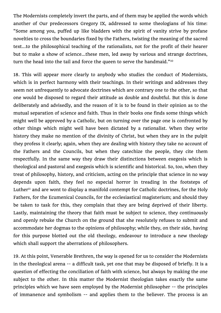The Modernists completely invert the parts, and of them may be applied the words which another of Our predecessors Gregory IX, addressed to some theologians of his time: "Some among you, puffed up like bladders with the spirit of vanity strive by profane novelties to cross the boundaries fixed by the Fathers, twisting the meaning of the sacred text...to the philosophical teaching of the rationalists, not for the profit of their hearer but to make a show of science...these men, led away by various and strange doctrines, turn the head into the tail and force the queen to serve the handmaid."<sup>10</sup>

18. This will appear more clearly to anybody who studies the conduct of Modernists, which is in perfect harmony with their teachings. In their writings and addresses they seem not unfrequently to advocate doctrines which are contrary one to the other, so that one would be disposed to regard their attitude as double and doubtful. But this is done deliberately and advisedly, and the reason of it is to be found in their opinion as to the mutual separation of science and faith. Thus in their books one finds some things which might well be approved by a Catholic, but on turning over the page one is confronted by other things which might well have been dictated by a rationalist. When they write history they make no mention of the divinity of Christ, but when they are in the pulpit they profess it clearly; again, when they are dealing with history they take no account of the Fathers and the Councils, but when they catechize the people, they cite them respectfully. In the same way they draw their distinctions between exegesis which is theological and pastoral and exegesis which is scientific and historical. So, too, when they treat of philosophy, history, and criticism, acting on the principle that science in no way depends upon faith, they feel no especial horror in treading in the footsteps of Luther<sup>11</sup> and are wont to display a manifold contempt for Catholic doctrines, for the Holy Fathers, for the Ecumenical Councils, for the ecclesiastical magisterium; and should they be taken to task for this, they complain that they are being deprived of their liberty. Lastly, maintaining the theory that faith must be subject to science, they continuously and openly rebuke the Church on the ground that she resolutely refuses to submit and accommodate her dogmas to the opinions of philosophy; while they, on their side, having for this purpose blotted out the old theology, endeavour to introduce a new theology which shall support the aberrations of philosophers.

19. At this point, Venerable Brethren, the way is opened for us to consider the Modernists in the theological arena -- a difficult task, yet one that may be disposed of briefly. It is a question of effecting the conciliation of faith with science, but always by making the one subject to the other. In this matter the Modernist theologian takes exactly the same principles which we have seen employed by the Modernist philosopher -- the principles of immanence and symbolism -- and applies them to the believer. The process is an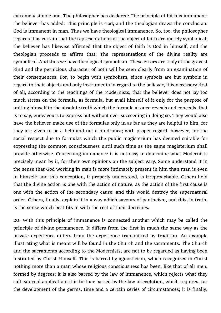extremely simple one. The philosopher has declared: The principle of faith is immanent; the believer has added: This principle is God; and the theologian draws the conclusion: God is immanent in man. Thus we have theological immanence. So, too, the philosopher regards it as certain that the representations of the object of faith are merely symbolical; the believer has likewise affirmed that the object of faith is God in himself; and the theologian proceeds to affirm that: The representations of the divine reality are symbolical. And thus we have theological symbolism. These errors are truly of the gravest kind and the pernicious character of both will be seen clearly from an examination of their consequences. For, to begin with symbolism, since symbols are but symbols in regard to their objects and only instruments in regard to the believer, it is necessary first of all, according to the teachings of the Modernists, that the believer does not lay too much stress on the formula, as formula, but avail himself of it only for the purpose of uniting himself to the absolute truth which the formula at once reveals and conceals, that is to say, endeavours to express but without ever succeeding in doing so. They would also have the believer make use of the formulas only in as far as they are helpful to him, for they are given to be a help and not a hindrance; with proper regard, however, for the social respect due to formulas which the public magisterium has deemed suitable for expressing the common consciousness until such time as the same magisterium shall provide otherwise. Concerning immanence it is not easy to determine what Modernists precisely mean by it, for their own opinions on the subject vary. Some understand it in the sense that God working in man is more intimately present in him than man is even in himself; and this conception, if properly understood, is irreproachable. Others hold that the divine action is one with the action of nature, as the action of the first cause is one with the action of the secondary cause; and this would destroy the supernatural order. Others, finally, explain it in a way which savours of pantheism, and this, in truth, is the sense which best fits in with the rest of their doctrines.

20. With this principle of immanence is connected another which may be called the principle of divine permanence. It differs from the first in much the same way as the private experience differs from the experience transmitted by tradition. An example illustrating what is meant will be found in the Church and the sacraments. The Church and the sacraments according to the Modernists, are not to be regarded as having been instituted by Christ Himself. This is barred by agnosticism, which recognizes in Christ nothing more than a man whose religious consciousness has been, like that of all men, formed by degrees; it is also barred by the law of immanence, which rejects what they call external application; it is further barred by the law of evolution, which requires, for the development of the germs, time and a certain series of circumstances; it is finally,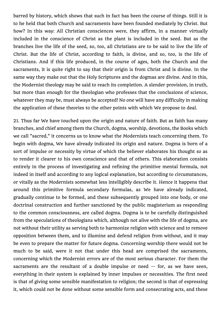barred by history, which shows that such in fact has been the course of things. Still it is to he held that both Church and sacraments have been founded mediately by Christ. But how? In this way: All Christian consciences were, they affirm, in a manner virtually included in the conscience of Christ as the plant is included in the seed. But as the branches live the life of the seed, so, too, all Christians are to be said to live the life of Christ. But the life of Christ, according to faith, is divine, and so, too, is the life of Christians. And if this life produced, in the course of ages, both the Church and the sacraments, it is quite right to say that their origin is from Christ and is divine. In the same way they make out that the Holy Scriptures and the dogmas are divine. And in this, the Modernist theology may be said to reach its completion. A slender provision, in truth, but more than enough for the theologian who professes that the conclusions of science, whatever they may be, must always be accepted! No one will have any difficulty in making the application of these theories to the other points with which We propose to deal.

21. Thus far We have touched upon the origin and nature of faith. But as faith has many branches, and chief among them the Church, dogma, worship, devotions, the Books which we call "sacred," it concerns us to know what the Modernists teach concerning them. To begin with dogma, We have already indicated its origin and nature. Dogma is born of a sort of impulse or necessity by virtue of which the believer elaborates his thought so as to render it clearer to his own conscience and that of others. This elaboration consists entirely in the process of investigating and refining the primitive mental formula, not indeed in itself and according to any logical explanation, but according to circumstances, or vitally as the Modernists somewhat less intelligibly describe it. Hence it happens that around this primitive formula secondary formulas, as We have already indicated, gradually continue to be formed, and these subsequently grouped into one body, or one doctrinal construction and further sanctioned by the public magisterium as responding to the common consciousness, are called dogma. Dogma is to be carefully distinguished from the speculations of theologians which, although not alive with the life of dogma, are not without their utility as serving both to harmonize religion with science and to remove opposition between them, and to illumine and defend religion from without, and it may be even to prepare the matter for future dogma. Concerning worship there would not be much to be said, were it not that under this head are comprised the sacraments, concerning which the Modernist errors are of the most serious character. For them the sacraments are the resultant of a double impulse or need -- for, as we have seen, everything in their system is explained by inner impulses or necessities. The first need is that of giving some sensible manifestation to religion; the second is that of expressing it, which could not be done without some sensible form and consecrating acts, and these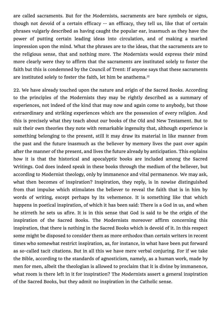are called sacraments. But for the Modernists, sacraments are bare symbols or signs, though not devoid of a certain efficacy -- an efficacy, they tell us, like that of certain phrases vulgarly described as having caught the popular ear, inasmuch as they have the power of putting certain leading ideas into circulation, and of making a marked impression upon the mind. What the phrases are to the ideas, that the sacraments are to the religious sense, that and nothing more. The Modernists would express their mind more clearly were they to affirm that the sacraments are instituted solely to foster the faith but this is condemned by the Council of Trent: If anyone says that these sacraments are instituted solely to foster the faith, let him be anathema.<sup>12</sup>

22. We have already touched upon the nature and origin of the Sacred Books. According to the principles of the Modernists they may be rightly described as a summary of experiences, not indeed of the kind that may now and again come to anybody, but those extraordinary and striking experiences which are the possession of every religion. And this is precisely what they teach about our books of the Old and New Testament. But to suit their own theories they note with remarkable ingenuity that, although experience is something belonging to the present, still it may draw its material in like manner from the past and the future inasmuch as the believer by memory lives the past over again after the manner of the present, and lives the future already by anticipation. This explains how it is that the historical and apocalyptic books are included among the Sacred Writings. God does indeed speak in these books through the medium of the believer, but according to Modernist theology, only by immanence and vital permanence. We may ask, what then becomes of inspiration? Inspiration, they reply, is in nowise distinguished from that impulse which stimulates the believer to reveal the faith that is in him by words of writing, except perhaps by its vehemence. It is something like that which happens in poetical inspiration, of which it has been said: There is a God in us, and when he stirreth he sets us afire. It is in this sense that God is said to be the origin of the inspiration of the Sacred Books. The Modernists moreover affirm concerning this inspiration, that there is nothing in the Sacred Books which is devoid of it. In this respect some might be disposed to consider them as more orthodox than certain writers in recent times who somewhat restrict inspiration, as, for instance, in what have been put forward as so-called tacit citations. But in all this we have mere verbal conjuring. For if we take the Bible, according to the standards of agnosticism, namely, as a human work, made by men for men, albeit the theologian is allowed to proclaim that it is divine by immanence, what room is there left in it for inspiration? The Modernists assert a general inspiration of the Sacred Books, but they admit no inspiration in the Catholic sense.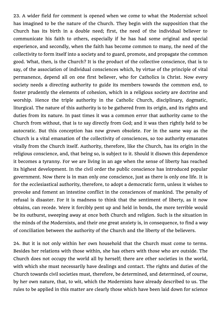23. A wider field for comment is opened when we come to what the Modernist school has imagined to be the nature of the Church. They begin with the supposition that the Church has its birth in a double need; first, the need of the individual believer to communicate his faith to others, especially if he has had some original and special experience, and secondly, when the faith has become common to many, the need of the collectivity to form itself into a society and to guard, promote, and propagate the common good. What, then, is the Church? It is the product of the collective conscience, that is to say, of the association of individual consciences which, by virtue of the principle of vital permanence, depend all on one first believer, who for Catholics is Christ. Now every society needs a directing authority to guide its members towards the common end, to foster prudently the elements of cohesion, which in a religious society are doctrine and worship. Hence the triple authority in the Catholic Church, disciplinary, dogmatic, liturgical. The nature of this authority is to be gathered from its origin, and its rights and duties from its nature. In past times it was a common error that authority came to the Church from without, that is to say directly from God; and it was then rightly held to be autocratic. But this conception has now grown obsolete. For in the same way as the Church is a vital emanation of the collectivity of consciences, so too authority emanates vitally from the Church itself. Authority, therefore, like the Church, has its origin in the religious conscience, and, that being so, is subject to it. Should it disown this dependence it becomes a tyranny. For we are living in an age when the sense of liberty has reached its highest development. In the civil order the public conscience has introduced popular government. Now there is in man only one conscience, just as there is only one life. It is for the ecclesiastical authority, therefore, to adopt a democratic form, unless it wishes to provoke and foment an intestine conflict in the consciences of mankind. The penalty of refusal is disaster. For it is madness to think that the sentiment of liberty, as it now obtains, can recede. Were it forcibly pent up and held in bonds, the more terrible would be its outburst, sweeping away at once both Church and religion. Such is the situation in the minds of the Modernists, and their one great anxiety is, in consequence, to find a way of conciliation between the authority of the Church and the liberty of the believers.

24. But it is not only within her own household that the Church must come to terms. Besides her relations with those within, she has others with those who are outside. The Church does not occupy the world all by herself; there are other societies in the world, with which she must necessarily have dealings and contact. The rights and duties of the Church towards civil societies must, therefore, be determined, and determined, of course, by her own nature, that, to wit, which the Modernists have already described to us. The rules to be applied in this matter are clearly those which have been laid down for science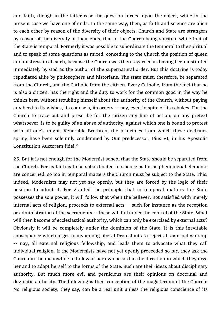and faith, though in the latter case the question turned upon the object, while in the present case we have one of ends. In the same way, then, as faith and science are alien to each other by reason of the diversity of their objects, Church and State are strangers by reason of the diversity of their ends, that of the Church being spiritual while that of the State is temporal. Formerly it was possible to subordinate the temporal to the spiritual and to speak of some questions as mixed, conceding to the Church the position of queen and mistress in all such, because the Church was then regarded as having been instituted immediately by God as the author of the supernatural order. But this doctrine is today repudiated alike by philosophers and historians. The state must, therefore, be separated from the Church, and the Catholic from the citizen. Every Catholic, from the fact that he is also a citizen, has the right and the duty to work for the common good in the way he thinks best, without troubling himself about the authority of the Church, without paying any heed to its wishes, its counsels, its orders -- nay, even in spite of its rebukes. For the Church to trace out and prescribe for the citizen any line of action, on any pretext whatsoever, is to be guilty of an abuse of authority, against which one is bound to protest with all one's might. Venerable Brethren, the principles from which these doctrines spring have been solemnly condemned by Our predecessor, Pius VI, in his Apostolic Constitution Auctorem fidei.<sup>13</sup>

25. But it is not enough for the Modernist school that the State should be separated from the Church. For as faith is to be subordinated to science as far as phenomenal elements are concerned, so too in temporal matters the Church must be subject to the State. This, indeed, Modernists may not yet say openly, but they are forced by the logic of their position to admit it. For granted the principle that in temporal matters the State possesses the sole power, it will follow that when the believer, not satisfied with merely internal acts of religion, proceeds to external acts -- such for instance as the reception or administration of the sacraments -- these will fall under the control of the State. What will then become of ecclesiastical authority, which can only be exercised by external acts? Obviously it will be completely under the dominion of the State. It is this inevitable consequence which urges many among liberal Protestants to reject all external worship -- nay, all external religious fellowship, and leads them to advocate what they call individual religion. If the Modernists have not yet openly proceeded so far, they ask the Church in the meanwhile to follow of her own accord in the direction in which they urge her and to adapt herself to the forms of the State. Such are their ideas about disciplinary authority. But much more evil and pernicious are their opinions on doctrinal and dogmatic authority. The following is their conception of the magisterium of the Church: No religious society, they say, can be a real unit unless the religious conscience of its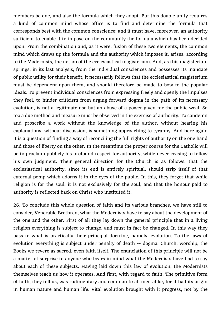members be one, and also the formula which they adopt. But this double unity requires a kind of common mind whose office is to find and determine the formula that corresponds best with the common conscience; and it must have, moreover, an authority sufficient to enable it to impose on the community the formula which has been decided upon. From the combination and, as it were, fusion of these two elements, the common mind which draws up the formula and the authority which imposes it, arises, according to the Modernists, the notion of the ecclesiastical magisterium. And, as this magisterium springs, in its last analysis, from the individual consciences and possesses its mandate of public utility for their benefit, it necessarily follows that the ecclesiastical magisterium must be dependent upon them, and should therefore be made to bow to the popular ideals. To prevent individual consciences from expressing freely and openly the impulses they feel, to hinder criticism from urging forward dogma in the path of its necessary evolution, is not a legitimate use but an abuse of a power given for the public weal. So too a due method and measure must be observed in the exercise of authority. To condemn and proscribe a work without the knowledge of the author, without hearing his explanations, without discussion, is something approaching to tyranny. And here again it is a question of finding a way of reconciling the full rights of authority on the one hand and those of liberty on the other. In the meantime the proper course for the Catholic will be to proclaim publicly his profound respect for authority, while never ceasing to follow his own judgment. Their general direction for the Church is as follows: that the ecclesiastical authority, since its end is entirely spiritual, should strip itself of that external pomp which adorns it in the eyes of the public. In this, they forget that while religion is for the soul, it is not exclusively for the soul, and that the honour paid to authority is reflected back on Christ who instituted it.

26. To conclude this whole question of faith and its various branches, we have still to consider, Venerable Brethren, what the Modernists have to say about the development of the one and the other. First of all they lay down the general principle that in a living religion everything is subject to change, and must in fact be changed. In this way they pass to what is practically their principal doctrine, namely, evolution. To the laws of evolution everything is subject under penalty of death -- dogma, Church, worship, the Books we revere as sacred, even faith itself. The enunciation of this principle will not be a matter of surprise to anyone who bears in mind what the Modernists have had to say about each of these subjects. Having laid down this law of evolution, the Modernists themselves teach us how it operates. And first, with regard to faith. The primitive form of faith, they tell us, was rudimentary and common to all men alike, for it had its origin in human nature and human life. Vital evolution brought with it progress, not by the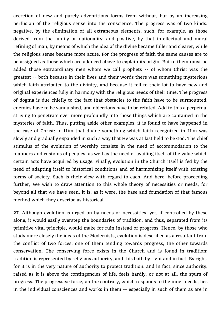accretion of new and purely adventitious forms from without, but by an increasing perfusion of the religious sense into the conscience. The progress was of two kinds: negative, by the elimination of all extraneous elements, such, for example, as those derived from the family or nationality; and positive, by that intellectual and moral refining of man, by means of which the idea of the divine became fuller and clearer, while the religious sense became more acute. For the progress of faith the same causes are to be assigned as those which are adduced above to explain its origin. But to them must be added those extraordinary men whom we call prophets -- of whom Christ was the greatest -- both because in their lives and their words there was something mysterious which faith attributed to the divinity, and because it fell to their lot to have new and original experiences fully in harmony with the religious needs of their time. The progress of dogma is due chiefly to the fact that obstacles to the faith have to be surmounted, enemies have to be vanquished, and objections have to be refuted. Add to this a perpetual striving to penetrate ever more profoundly into those things which are contained in the mysteries of faith. Thus, putting aside other examples, it is found to have happened in the case of Christ: in Him that divine something which faith recognized in Him was slowly and gradually expanded in such a way that He was at last held to be God. The chief stimulus of the evolution of worship consists in the need of accommodation to the manners and customs of peoples, as well as the need of availing itself of the value which certain acts have acquired by usage. Finally, evolution in the Church itself is fed by the need of adapting itself to historical conditions and of harmonizing itself with existing forms of society. Such is their view with regard to each. And here, before proceeding further, We wish to draw attention to this whole theory of necessities or needs, for beyond all that we have seen, it is, as it were, the base and foundation of that famous method which they describe as historical.

27. Although evolution is urged on by needs or necessities, yet, if controlled by these alone, it would easily overstep the boundaries of tradition, and thus, separated from its primitive vital principle, would make for ruin instead of progress. Hence, by those who study more closely the ideas of the Modernists, evolution is described as a resultant from the conflict of two forces, one of them tending towards progress, the other towards conservation. The conserving force exists in the Church and is found in tradition; tradition is represented by religious authority, and this both by right and in fact. By right, for it is in the very nature of authority to protect tradition: and in fact, since authority, raised as it is above the contingencies of life, feels hardly, or not at all, the spurs of progress. The progressive force, on the contrary, which responds to the inner needs, lies in the individual consciences and works in them -- especially in such of them as are in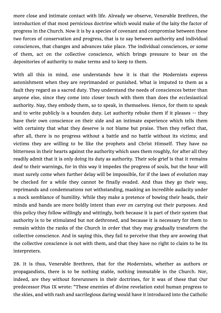more close and intimate contact with life. Already we observe, Venerable Brethren, the introduction of that most pernicious doctrine which would make of the laity the factor of progress in the Church. Now it is by a species of covenant and compromise between these two forces of conservation and progress, that is to say between authority and individual consciences, that changes and advances take place. The individual consciences, or some of them, act on the collective conscience, which brings pressure to bear on the depositories of authority to make terms and to keep to them.

With all this in mind, one understands how it is that the Modernists express astonishment when they are reprimanded or punished. What is imputed to them as a fault they regard as a sacred duty. They understand the needs of consciences better than anyone else, since they come into closer touch with them than does the ecclesiastical authority. Nay, they embody them, so to speak, in themselves. Hence, for them to speak and to write publicly is a bounden duty. Let authority rebuke them if it pleases -- they have their own conscience on their side and an intimate experience which tells them with certainty that what they deserve is not blame but praise. Then they reflect that, after all, there is no progress without a battle and no battle without its victims; and victims they are willing to be like the prophets and Christ Himself. They have no bitterness in their hearts against the authority which uses them roughly, for after all they readily admit that it is only doing its duty as authority. Their sole grief is that it remains deaf to their warnings, for in this way it impedes the progress of souls, but the hour will most surely come when further delay will be impossible, for if the laws of evolution may be checked for a while they cannot be finally evaded. And thus they go their way, reprimands and condemnations not withstanding, masking an incredible audacity under a mock semblance of humility. While they make a pretence of bowing their heads, their minds and hands are more boldly intent than ever on carrying out their purposes. And this policy they follow willingly and wittingly, both because it is part of their system that authority is to be stimulated but not dethroned, and because it is necessary for them to remain within the ranks of the Church in order that they may gradually transform the collective conscience. And in saying this, they fail to perceive that they are avowing that the collective conscience is not with them, and that they have no right to claim to be its interpreters.

28. It is thus, Venerable Brethren, that for the Modernists, whether as authors or propagandists, there is to be nothing stable, nothing immutable in the Church. Nor, indeed, are they without forerunners in their doctrines, for it was of these that Our predecessor Pius IX wrote: "These enemies of divine revelation extol human progress to the skies, and with rash and sacrilegious daring would have it introduced into the Catholic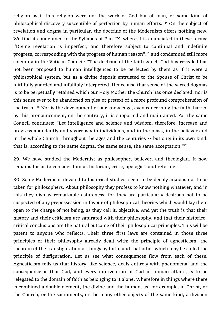religion as if this religion were not the work of God but of man, or some kind of philosophical discovery susceptible of perfection by human efforts."<sup>14</sup> On the subject of revelation and dogma in particular, the doctrine of the Modernists offers nothing new. We find it condemned in the Syllabus of Pius IX, where it is enunciated in these terms: ''Divine revelation is imperfect, and therefore subject to continual and indefinite progress, corresponding with the progress of human reason";<sup>15</sup> and condemned still more solemnly in the Vatican Council: ''The doctrine of the faith which God has revealed has not been proposed to human intelligences to be perfected by them as if it were a philosophical system, but as a divine deposit entrusted to the Spouse of Christ to be faithfully guarded and infallibly interpreted. Hence also that sense of the sacred dogmas is to be perpetually retained which our Holy Mother the Church has once declared, nor is this sense ever to be abandoned on plea or pretext of a more profound comprehension of the truth."<sup>16</sup> Nor is the development of our knowledge, even concerning the faith, barred by this pronouncement; on the contrary, it is supported and maintained. For the same Council continues: "Let intelligence and science and wisdom, therefore, increase and progress abundantly and vigorously in individuals, and in the mass, in the believer and in the whole Church, throughout the ages and the centuries -- but only in its own kind, that is, according to the same dogma, the same sense, the same acceptation."<sup>17</sup>

29. We have studied the Modernist as philosopher, believer, and theologian. It now remains for us to consider him as historian, critic, apologist, and reformer.

30. Some Modernists, devoted to historical studies, seem to be deeply anxious not to be taken for philosophers. About philosophy they profess to know nothing whatever, and in this they display remarkable astuteness, for they are particularly desirous not to be suspected of any prepossession in favour of philosophical theories which would lay them open to the charge of not being, as they call it, objective. And yet the truth is that their history and their criticism are saturated with their philosophy, and that their historicocritical conclusions are the natural outcome of their philosophical principles. This will be patent to anyone who reflects. Their three first laws are contained in those three principles of their philosophy already dealt with: the principle of agnosticism, the theorem of the transfiguration of things by faith, and that other which may be called the principle of disfiguration. Let us see what consequences flow from each of these. Agnosticism tells us that history, like science, deals entirely with phenomena, and the consequence is that God, and every intervention of God in human affairs, is to be relegated to the domain of faith as belonging to it alone. Wherefore in things where there is combined a double element, the divine and the human, as, for example, in Christ, or the Church, or the sacraments, or the many other objects of the same kind, a division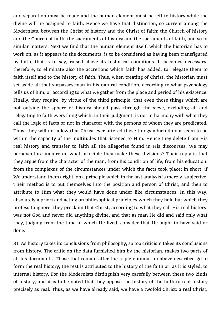and separation must be made and the human element must he left to history while the divine will he assigned to faith. Hence we have that distinction, so current among the Modernists, between the Christ of history and the Christ of faith; the Church of history and the Church of faith; the sacraments of history and the sacraments of faith, and so in similar matters. Next we find that the human element itself, which the historian has to work on, as it appears in the documents, is to be considered as having been transfigured by faith, that is to say, raised above its historical conditions. It becomes necessary, therefore, to eliminate also the accretions which faith has added, to relegate them to faith itself and to the history of faith. Thus, when treating of Christ, the historian must set aside all that surpasses man in his natural condition, according to what psychology tells us of him, or according to what we gather from the place and period of his existence. Finally, they require, by virtue of the third principle, that even those things which are not outside the sphere of history should pass through the sieve, excluding all and relegating to faith everything which, in their judgment, is not in harmony with what they call the logic of facts or not in character with the persons of whom they are predicated. Thus, they will not allow that Christ ever uttered those things which do not seem to be within the capacity of the multitudes that listened to Him. Hence they delete from His real history and transfer to faith all the allegories found in His discourses. We may peradventure inquire on what principle they make these divisions? Their reply is that they argue from the character of the man, from his condition of life, from his education, from the complexus of the circumstances under which the facts took place; in short, if We understand them aright, on a principle which in the last analysis is merely .subjective. Their method is to put themselves into the position and person of Christ, and then to attribute to Him what they would have done under like circumstances. In this way, absolutely a priori and acting on philosophical principles which they hold but which they profess to ignore, they proclaim that Christ, according to what they call His real history, was not God and never did anything divine, and that as man He did and said only what they, judging from the time in which He lived, consider that He ought to have said or done.

31. As history takes its conclusions from philosophy, so too criticism takes its conclusions from history. The critic on the data furnished him by the historian, makes two parts of all his documents. Those that remain after the triple elimination above described go to form the real history; the rest is attributed to the history of the faith or, as it is styled, to internal history. For the Modernists distinguish very carefully between these two kinds of history, and it is to be noted that they oppose the history of the faith to real history precisely as real. Thus, as we have already said, we have a twofold Christ: a real Christ,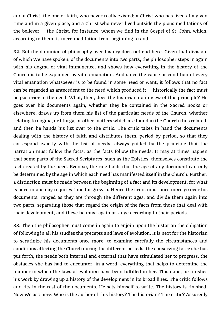and a Christ, the one of faith, who never really existed; a Christ who has lived at a given time and in a given place, and a Christ who never lived outside the pious meditations of the believer -- the Christ, for instance, whom we find in the Gospel of St. John, which, according to them, is mere meditation from beginning to end.

32. But the dominion of philosophy over history does not end here. Given that division, of which We have spoken, of the documents into two parts, the philosopher steps in again with his dogma of vital immanence, and shows how everything in the history of the Church is to be explained by vital emanation. And since the cause or condition of every vital emanation whatsoever is to be found in some need or want, it follows that no fact can be regarded as antecedent to the need which produced it -- historically the fact must be posterior to the need. What, then, does the historian do in view of this principle? He goes over his documents again, whether they be contained in the Sacred Books or elsewhere, draws up from them his list of the particular needs of the Church, whether relating to dogma, or liturgy, or other matters which are found in the Church thus related, and then he hands his list over to the critic. The critic takes in hand the documents dealing with the history of faith and distributes them, period by period, so that they correspond exactly with the list of needs, always guided by the principle that the narration must follow the facts, as the facts follow the needs. It may at times happen that some parts of the Sacred Scriptures, such as the Epistles, themselves constitute the fact created by the need. Even so, the rule holds that the age of any document can only be determined by the age in which each need has manifested itself in the Church. Further, a distinction must be made between the beginning of a fact and its development, for what is born in one day requires time for growth. Hence the critic must once more go over his documents, ranged as they are through the different ages, and divide them again into two parts, separating those that regard the origin of the facts from those that deal with their development, and these he must again arrange according to their periods.

33. Then the philosopher must come in again to enjoin upon the historian the obligation of following in all his studies the precepts and laws of evolution. It is next for the historian to scrutinize his documents once more, to examine carefully the circumstances and conditions affecting the Church during the different periods, the conserving force she has put forth, the needs both internal and external that have stimulated her to progress, the obstacles she has had to encounter, in a word, everything that helps to determine the manner in which the laws of evolution have been fulfilled in her. This done, he finishes his work by drawing up a history of the development in its broad lines. The critic follows and fits in the rest of the documents. He sets himself to write. The history is finished. Now We ask here: Who is the author of this history? The historian? The critic? Assuredly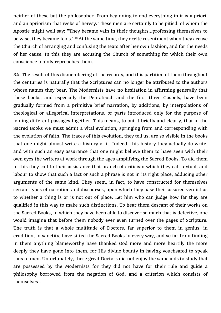neither of these but the philosopher. From beginning to end everything in it is a priori, and an apriorism that reeks of heresy. These men are certainly to be pitied, of whom the Apostle might well say: "They became vain in their thoughts...professing themselves to be wise, they became fools.''<sup>18</sup> At the same time, they excite resentment when they accuse the Church of arranging and confusing the texts after her own fashion, and for the needs of her cause. In this they are accusing the Church of something for which their own conscience plainly reproaches them.

34. The result of this dismembering of the records, and this partition of them throughout the centuries is naturally that the Scriptures can no longer be attributed to the authors whose names they bear. The Modernists have no hesitation in affirming generally that these books, and especially the Pentateuch and the first three Gospels, have been gradually formed from a primitive brief narration, by additions, by interpolations of theological or allegorical interpretations, or parts introduced only for the purpose of joining different passages together. This means, to put it briefly and clearly, that in the Sacred Books we must admit a vital evolution, springing from and corresponding with the evolution of faith. The traces of this evolution, they tell us, are so visible in the books that one might almost write a history of it. Indeed, this history they actually do write, and with such an easy assurance that one might believe them to have seen with their own eyes the writers at work through the ages amplifying the Sacred Books. To aid them in this they call to their assistance that branch of criticism which they call textual, and labour to show that such a fact or such a phrase is not in its right place, adducing other arguments of the same kind. They seem, in fact, to have constructed for themselves certain types of narration and discourses, upon which they base their assured verdict as to whether a thing is or is not out of place. Let him who can judge how far they are qualified in this way to make such distinctions. To hear them descant of their works on the Sacred Books, in which they have been able to discover so much that is defective, one would imagine that before them nobody ever even turned over the pages of Scripture. The truth is that a whole multitude of Doctors, far superior to them in genius, in erudition, in sanctity, have sifted the Sacred Books in every way, and so far from finding in them anything blameworthy have thanked God more and more heartily the more deeply they have gone into them, for His divine bounty in having vouchsafed to speak thus to men. Unfortunately, these great Doctors did not enjoy the same aids to study that are possessed by the Modernists for they did not have for their rule and guide a philosophy borrowed from the negation of God, and a criterion which consists of themselves .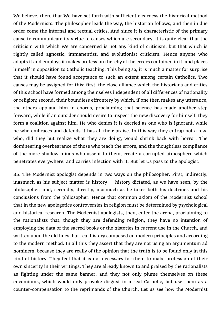We believe, then, that We have set forth with sufficient clearness the historical method of the Modernists. The philosopher leads the way, the historian follows, and then in due order come the internal and textual critics. And since it is characteristic of the primary cause to communicate its virtue to causes which are secondary, it is quite clear that the criticism with which We are concerned is not any kind of criticism, but that which is rightly called agnostic, immanentist, and evolutionist criticism. Hence anyone who adopts it and employs it makes profession thereby of the errors contained in it, and places himself in opposition to Catholic teaching. This being so, it is much a matter for surprise that it should have found acceptance to such an extent among certain Catholics. Two causes may be assigned for this: first, the close alliance which the historians and critics of this school have formed among themselves independent of all differences of nationality or religion; second, their boundless effrontery by which, if one then makes any utterance, the others applaud him in chorus, proclaiming that science has made another step forward, while if an outsider should desire to inspect the new discovery for himself, they form a coalition against him. He who denies it is decried as one who is ignorant, while he who embraces and defends it has all their praise. In this way they entrap not a few, who, did they but realize what they are doing, would shrink back with horror. The domineering overbearance of those who teach the errors, and the thoughtless compliance of the more shallow minds who assent to them, create a corrupted atmosphere which penetrates everywhere, and carries infection with it. But let Us pass to the apologist.

35. The Modernist apologist depends in two ways on the philosopher. First, indirectly, inasmuch as his subject-matter is history -- history dictated, as we have seen, by the philosopher; and, secondly, directly, inasmuch as he takes both his doctrines and his conclusions from the philosopher. Hence that common axiom of the Modernist school that in the new apologetics controversies in religion must be determined by psychological and historical research. The Modernist apologists, then, enter the arena, proclaiming to the rationalists that, though they are defending religion, they have no intention of employing the data of the sacred books or the histories in current use in the Church, and written upon the old lines, but real history composed on modern principles and according to the modern method. In all this they assert that they are not using an argumentum ad hominem, because they are really of the opinion that the truth is to be found only in this kind of history. They feel that it is not necessary for them to make profession of their own sincerity in their writings. They are already known to and praised by the rationalists as fighting under the same banner, and they not only plume themselves on these encomiums, which would only provoke disgust in a real Catholic, but use them as a counter-compensation to the reprimands of the Church. Let us see how the Modernist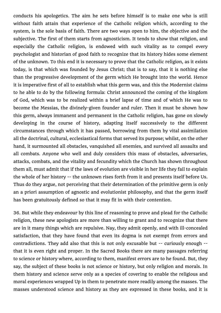conducts his apologetics. The aim he sets before himself is to make one who is still without faith attain that experience of the Catholic religion which, according to the system, is the sole basis of faith. There are two ways open to him, the objective and the subjective. The first of them starts from agnosticism. It tends to show that religion, and especially the Catholic religion, is endowed with such vitality as to compel every psychologist and historian of good faith to recognize that its history hides some element of the unknown. To this end it is necessary to prove that the Catholic religion, as it exists today, is that which was founded by Jesus Christ; that is to say, that it is nothing else than the progressive development of the germ which He brought into the world. Hence it is imperative first of all to establish what this germ was, and this the Modernist claims to he able to do by the following formula: Christ announced the coming of the kingdom of God, which was to be realized within a brief lapse of time and of which He was to become the Messias, the divinely-given founder and ruler. Then it must be shown how this germ, always immanent and permanent in the Catholic religion, has gone on slowly developing in the course of history, adapting itself successively to the different circumstances through which it has passed, borrowing from them by vital assimilation all the doctrinal, cultural, ecclesiastical forms that served its purpose; whilst, on the other hand, it surmounted all obstacles, vanquished all enemies, and survived all assaults and all combats. Anyone who well and duly considers this mass of obstacles, adversaries, attacks, combats, and the vitality and fecundity which the Church has shown throughout them all, must admit that if the laws of evolution are visible in her life they fail to explain the whole of her history -- the unknown rises forth from it and presents itself before Us. Thus do they argue, not perceiving that their determination of the primitive germ is only an a priori assumption of agnostic and evolutionist philosophy, and that the germ itself has been gratuitously defined so that it may fit in with their contention.

36. But while they endeavour by this line of reasoning to prove and plead for the Catholic religion, these new apologists are more than willing to grant and to recognize that there are in it many things which are repulsive. Nay, they admit openly, and with ill-concealed satisfaction, that they have found that even its dogma is not exempt from errors and contradictions. They add also that this is not only excusable but -- curiously enough - that it is even right and proper. In the Sacred Books there are many passages referring to science or history where, according to them, manifest errors are to he found. But, they say, the subject of these books is not science or history, but only religion and morals. In them history and science serve only as a species of covering to enable the religious and moral experiences wrapped Up in them to penetrate more readily among the masses. The masses understood science and history as they are expressed in these books, and it is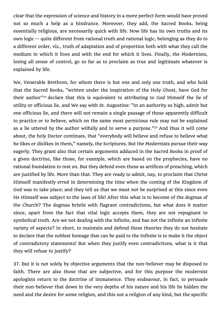clear that the expression of science and history in a more perfect form would have proved not so much a help as a hindrance. Moreover, they add, the Sacred Books, being essentially religious, are necessarily quick with life. Now life has its own truths and its own logic -- quite different from rational truth and rational logic, belonging as they do to a different order, viz., truth of adaptation and of proportion both with what they call the medium in which it lives and with the end for which it lives. Finally, the Modernists, losing all sense of control, go so far as to proclaim as true and legitimate whatever is explained by life.

We, Venerable Brethren, for whom there is but one and only one truth, and who hold that the Sacred Books, "written under the inspiration of the Holy Ghost, have God for their author''<sup>19</sup> declare that this is equivalent to attributing to God Himself the lie of utility or officious lie, and We say with St. Augustine: "In an authority so high, admit but one officious lie, and there will not remain a single passage of those apparently difficult to practice or to believe, which on the same most pernicious rule may not be explained as a lie uttered by the author wilfully and to serve a purpose."<sup>20</sup> And thus it will come about, the holy Doctor continues, that "everybody will believe and refuse to believe what he likes or dislikes in them," namely, the Scriptures. But the Modernists pursue their way eagerly. They grant also that certain arguments adduced in the Sacred Books in proof of a given doctrine, like those, for example, which are based on the prophecies, have no rational foundation to rest on. But they defend even these as artifices of preaching, which are justified by life. More than that. They are ready to admit, nay, to proclaim that Christ Himself manifestly erred in determining the time when the coming of the Kingdom of God was to take place; and they tell us that we must not be surprised at this since even He Himself was subject to the laws of life! After this what is to become of the dogmas of the Church? The dogmas bristle with flagrant contradictions, but what does it matter since, apart from the fact that vital logic accepts them, they are not repugnant to symbolical truth. Are we not dealing with the infinite, and has not the infinite an infinite variety of aspects? In short, to maintain and defend these theories they do not hesitate to declare that the noblest homage that can be paid to the Infinite is to make it the object of contradictory statements! But when they justify even contradictions, what is it that they will refuse to justify?

37. But it is not solely by objective arguments that the non-believer may be disposed to faith. There are also those that are subjective, and for this purpose the modernist apologists return to the doctrine of immanence. They endeavour, in fact, to persuade their non-believer that down in the very depths of his nature and his life lie hidden the need and the desire for some religion, and this not a religion of any kind, but the specific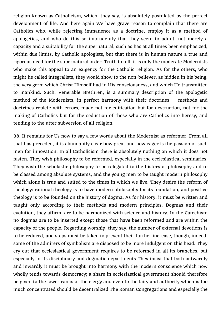religion known as Catholicism, which, they say, is absolutely postulated by the perfect development of life. And here again We have grave reason to complain that there are Catholics who, while rejecting immanence as a doctrine, employ it as a method of apologetics, and who do this so imprudently that they seem to admit, not merely a capacity and a suitability for the supernatural, such as has at all times been emphasized, within due limits, by Catholic apologists, but that there is in human nature a true and rigorous need for the supernatural order. Truth to tell, it is only the moderate Modernists who make this appeal to an exigency for the Catholic religion. As for the others, who might he called integralists, they would show to the non-believer, as hidden in his being, the very germ which Christ Himself had in His consciousness, and which He transmitted to mankind. Such, Venerable Brethren, is a summary description of the apologetic method of the Modernists, in perfect harmony with their doctrines -- methods and doctrines replete with errors, made not for edification but for destruction, not for the making of Catholics but for the seduction of those who are Catholics into heresy; and tending to the utter subversion of all religion.

38. It remains for Us now to say a few words about the Modernist as reformer. From all that has preceded, it is abundantly clear how great and how eager is the passion of such men for innovation. In all Catholicism there is absolutely nothing on which it does not fasten. They wish philosophy to be reformed, especially in the ecclesiastical seminaries. They wish the scholastic philosophy to be relegated to the history of philosophy and to be classed among absolute systems, and the young men to be taught modern philosophy which alone is true and suited to the times in which we live. They desire the reform of theology: rational theology is to have modern philosophy for its foundation, and positive theology is to be founded on the history of dogma. As for history, it must be written and taught only according to their methods and modern principles. Dogmas and their evolution, they affirm, are to be harmonized with science and history. In the Catechism no dogmas are to be inserted except those that have been reformed and are within the capacity of the people. Regarding worship, they say, the number of external devotions is to he reduced, and steps must be taken to prevent their further increase, though, indeed, some of the admirers of symbolism are disposed to be more indulgent on this head. They cry out that ecclesiastical government requires to be reformed in all its branches, but especially in its disciplinary and dogmatic departments They insist that both outwardly and inwardly it must be brought into harmony with the modern conscience which now wholly tends towards democracy; a share in ecclesiastical government should therefore be given to the lower ranks of the clergy and even to the laity and authority which is too much concentrated should be decentralized The Roman Congregations and especially the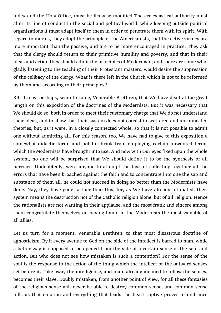index and the Holy Office, must be likewise modified The ecclesiastical authority must alter its line of conduct in the social and political world; while keeping outside political organizations it must adapt itself to them in order to penetrate them with its spirit. With regard to morals, they adopt the principle of the Americanists, that the active virtues are more important than the passive, and are to be more encouraged in practice. They ask that the clergy should return to their primitive humility and poverty, and that in their ideas and action they should admit the principles of Modernism; and there are some who, gladly listening to the teaching of their Protestant masters, would desire the suppression of the celibacy of the clergy. What is there left in the Church which is not to be reformed by them and according to their principles?

39. It may, perhaps, seem to some, Venerable Brethren, that We have dealt at too great length on this exposition of the doctrines of the Modernists. But it was necessary that We should do so, both in order to meet their customary charge that We do not understand their ideas, and to show that their system does not consist in scattered and unconnected theories, but, as it were, in a closely connected whole, so that it is not possible to admit one without admitting all. For this reason, too, We have had to give to this exposition a somewhat didactic form, and not to shrink from employing certain unwonted terms which the Modernists have brought into use. And now with Our eyes fixed upon the whole system, no one will be surprised that We should define it to be the synthesis of all heresies. Undoubtedly, were anyone to attempt the task of collecting together all the errors that have been broached against the faith and to concentrate into one the sap and substance of them all, he could not succeed in doing so better than the Modernists have done. Nay, they have gone farther than this, for, as We have already intimated, their system means the destruction not of the Catholic religion alone, but of all religion. Hence the rationalists are not wanting in their applause, and the most frank and sincere among them congratulate themselves on having found in the Modernists the most valuable of all allies.

Let us turn for a moment, Venerable Brethren, to that most disastrous doctrine of agnosticism. By it every avenue to God on the side of the intellect is barred to man, while a better way is supposed to be opened from the side of a certain sense of the soul and action. But who does not see how mistaken is such a contention? For the sense of the soul is the response to the action of the thing which the intellect or the outward senses set before it. Take away the intelligence, and man, already inclined to follow the senses, becomes their slave. Doubly mistaken, from another point of view, for all these fantasies of the religious sense will never be able to destroy common sense, and common sense tells us that emotion and everything that leads the heart captive proves a hindrance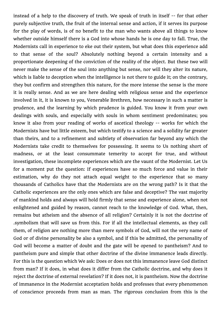instead of a help to the discovery of truth. We speak of truth in itself -- for that other purely subjective truth, the fruit of the internal sense and action, if it serves its purpose for the play of words, is of no benefit to the man who wants above all things to know whether outside himself there is a God into whose hands he is one day to fall. True, the Modernists call in experience to eke out their system, but what does this experience add to that sense of the soul? Absolutely nothing beyond a certain intensity and a proportionate deepening of the conviction of the reality of the object. But these two will never make the sense of the soul into anything but sense, nor will they alter its nature, which is liable to deception when the intelligence is not there to guide it; on the contrary, they but confirm and strengthen this nature, for the more intense the sense is the more it is really sense. And as we are here dealing with religious sense and the experience involved in it, it is known to you, Venerable Brethren, how necessary in such a matter is prudence, and the learning by which prudence is guided. You know it from your own dealings with souls, and especially with souls in whom sentiment predominates; you know it also from your reading of works of ascetical theology -- works for which the Modernists have but little esteem, but which testify to a science and a solidity far greater than theirs, and to a refinement and subtlety of observation far beyond any which the Modernists take credit to themselves for possessing. It seems to Us nothing short of madness, or at the least consummate temerity to accept for true, and without investigation, these incomplete experiences which are the vaunt of the Modernist. Let Us for a moment put the question: If experiences have so much force and value in their estimation, why do they not attach equal weight to the experience that so many thousands of Catholics have that the Modernists are on the wrong path? Is it that the Catholic experiences are the only ones which are false and deceptive? The vast majority of mankind holds and always will hold firmly that sense and experience alone, when not enlightened and guided by reason, cannot reach to the knowledge of God. What, then, remains but atheism and the absence of all religion? Certainly it is not the doctrine of .symbolism that will save us from this. For if all the intellectual elements, as they call them, of religion are nothing more than mere symbols of God, will not the very name of God or of divine personality be also a symbol, and if this be admitted, the personality of God will become a matter of doubt and the gate will be opened to pantheism? And to pantheism pure and simple that other doctrine of the divine immanence leads directly. For this is the question which We ask: Does or does not this immanence leave God distinct from man? If it does, in what does it differ from the Catholic doctrine, and why does it reject the doctrine of external revelation? If it does not, it is pantheism. Now the doctrine of immanence in the Modernist acceptation holds and professes that every phenomenon of conscience proceeds from man as man. The rigorous conclusion from this is the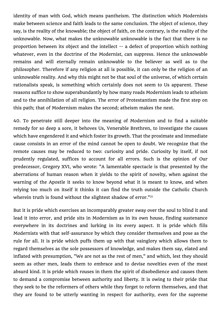identity of man with God, which means pantheism. The distinction which Modernists make between science and faith leads to the same conclusion. The object of science, they say, is the reality of the knowable; the object of faith, on the contrary, is the reality of the unknowable. Now, what makes the unknowable unknowable is the fact that there is no proportion between its object and the intellect -- a defect of proportion which nothing whatever, even in the doctrine of the Modernist, can suppress. Hence the unknowable remains and will eternally remain unknowable to the believer as well as to the philosopher. Therefore if any religion at all is possible, it can only be the religion of an unknowable reality. And why this might not be that soul of the universe, of which certain rationalists speak, is something which certainly does not seem to Us apparent. These reasons suffice to show superabundantly by how many roads Modernism leads to atheism and to the annihilation of all religion. The error of Protestantism made the first step on this path; that of Modernism makes the second; atheism makes the next.

40. To penetrate still deeper into the meaning of Modernism and to find a suitable remedy for so deep a sore, it behoves Us, Venerable Brethren, to investigate the causes which have engendered it and which foster its growth. That the proximate and immediate cause consists in an error of the mind cannot be open to doubt. We recognize that the remote causes may be reduced to two: curiosity and pride. Curiosity by itself, if not prudently regulated, suffices to account for all errors. Such is the opinion of Our predecessor, Gregory XVI, who wrote: "A lamentable spectacle is that presented by the aberrations of human reason when it yields to the spirit of novelty, when against the warning of the Apostle it seeks to know beyond what it is meant to know, and when relying too much on itself it thinks it can find the truth outside the Catholic Church wherein truth is found without the slightest shadow of error."<sup>21</sup>

But it is pride which exercises an incomparably greater sway over the soul to blind it and lead it into error, and pride sits in Modernism as in its own house, finding sustenance everywhere in its doctrines and lurking in its every aspect. It is pride which fills Modernists with that self-assurance by which they consider themselves and pose as the rule for all. It is pride which puffs them up with that vainglory which allows them to regard themselves as the sole possessors of knowledge, and makes them say, elated and inflated with presumption, "We are not as the rest of men," and which, lest they should seem as other men, leads them to embrace and to devise novelties even of the most absurd kind. It is pride which rouses in them the spirit of disobedience and causes them to demand a compromise between authority and liberty. It is owing to their pride that they seek to be the reformers of others while they forget to reform themselves, and that they are found to be utterly wanting in respect for authority, even for the supreme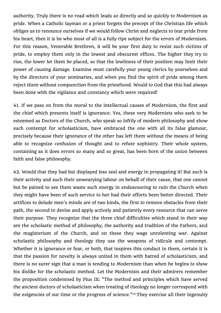authority. Truly there is no road which leads so directly and so quickly to Modernism as pride. When a Catholic layman or a priest forgets the precept of the Christian life which obliges us to renounce ourselves if we would follow Christ and neglects to tear pride from his heart, then it is he who most of all is a fully ripe subject for the errors of Modernism. For this reason, Venerable Brethren, it will be your first duty to resist such victims of pride, to employ them only in the lowest and obscurest offices. The higher they try to rise, the lower let them be placed, so that the lowliness of their position may limit their power of causing damage. Examine most carefully your young clerics by yourselves and by the directors of your seminaries, and when you find the spirit of pride among them reject them without compunction from the priesthood. Would to God that this had always been done with the vigilance and constancy which were required!

41. If we pass on from the moral to the intellectual causes of Modernism, the first and the chief which presents itself is ignorance. Yes, these very Modernists who seek to be esteemed as Doctors of the Church, who speak so loftily of modern philosophy and show such contempt for scholasticism, have embraced the one with all its false glamour, precisely because their ignorance of the other has left them without the means of being able to recognize confusion of thought and to refute sophistry. Their whole system, containing as it does errors so many and so great, has been born of the union between faith and false philosophy.

42. Would that they had but displayed less zeal and energy in propagating it! But such is their activity and such their unwearying labour on behalf of their cause, that one cannot but be pained to see them waste such energy in endeavouring to ruin the Church when they might have been of such service to her had their efforts been better directed. Their artifices to delude men's minds are of two kinds, the first to remove obstacles from their path, the second to devise and apply actively and patiently every resource that can serve their purpose. They recognize that the three chief difficulties which stand in their way are the scholastic method of philosophy, the authority and tradition of the Fathers, and the magisterium of the Church, and on these they wage unrelenting war. Against scholastic philosophy and theology they use the weapons of ridicule and contempt. Whether it is ignorance or fear, or both, that inspires this conduct in them, certain it is that the passion for novelty is always united in them with hatred of scholasticism, and there is no surer sign that a man is tending to Modernism than when he begins to show his dislike for the scholastic method. Let the Modernists and their admirers remember the proposition condemned by Pius IX: "The method and principles which have served the ancient doctors of scholasticism when treating of theology no longer correspond with the exigencies of our time or the progress of science."<sup>22</sup> They exercise all their ingenuity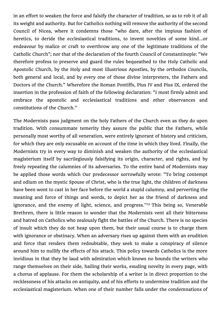in an effort to weaken the force and falsify the character of tradition, so as to rob it of all its weight and authority. But for Catholics nothing will remove the authority of the second Council of Nicea, where it condemns those "who dare, after the impious fashion of heretics, to deride the ecclesiastical traditions, to invent novelties of some kind...or endeavour by malice or craft to overthrow any one of the legitimate traditions of the Catholic Church"; nor that of the declaration of the fourth Council of Constantinople: "We therefore profess to preserve and guard the rules bequeathed to the Holy Catholic and Apostolic Church, by the Holy and most illustrious Apostles, by the orthodox Councils, both general and local, and by every one of those divine interpreters, the Fathers and Doctors of the Church." Wherefore the Roman Pontiffs, Pius IV and Pius IX, ordered the insertion in the profession of faith of the following declaration: "I most firmly admit and embrace the apostolic and ecclesiastical traditions and other observances and constitutions of the Church.''

The Modernists pass judgment on the holy Fathers of the Church even as they do upon tradition. With consummate temerity they assure the public that the Fathers, while personally most worthy of all veneration, were entirely ignorant of history and criticism, for which they are only excusable on account of the time in which they lived. Finally, the Modernists try in every way to diminish and weaken the authority of the ecclesiastical magisterium itself by sacrilegiously falsifying its origin, character, and rights, and by freely repeating the calumnies of its adversaries. To the entire band of Modernists may be applied those words which Our predecessor sorrowfully wrote: "To bring contempt and odium on the mystic Spouse of Christ, who is the true light, the children of darkness have been wont to cast in her face before the world a stupid calumny, and perverting the meaning and force of things and words, to depict her as the friend of darkness and ignorance, and the enemy of light, science, and progress."<sup>23</sup> This being so, Venerable Brethren, there is little reason to wonder that the Modernists vent all their bitterness and hatred on Catholics who zealously fight the battles of the Church. There is no species of insult which they do not heap upon them, but their usual course is to charge them with ignorance or obstinacy. When an adversary rises up against them with an erudition and force that renders them redoubtable, they seek to make a conspiracy of silence around him to nullify the effects of his attack. This policy towards Catholics is the more invidious in that they be laud with admiration which knows no bounds the writers who range themselves on their side, hailing their works, exuding novelty in every page, with a chorus of applause. For them the scholarship of a writer is in direct proportion to the recklessness of his attacks on antiquity, and of his efforts to undermine tradition and the ecclesiastical magisterium. When one of their number falls under the condemnations of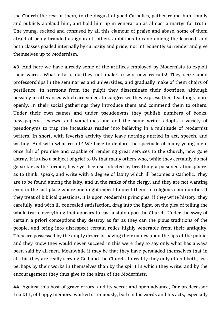the Church the rest of them, to the disgust of good Catholics, gather round him, loudly and publicly applaud him, and hold him up in veneration as almost a martyr for truth. The young, excited and confused by all this clamour of praise and abuse, some of them afraid of being branded as ignorant, others ambitious to rank among the learned, and both classes goaded internally by curiosity and pride, not infrequently surrender and give themselves up to Modernism.

43. And here we have already some of the artifices employed by Modernists to exploit their wares. What efforts do they not make to win new recruits! They seize upon professorships in the seminaries and universities, and gradually make of them chairs of pestilence. In sermons from the pulpit they disseminate their doctrines, although possibly in utterances which are veiled. In congresses they express their teachings more openly. In their social gatherings they introduce them and commend them to others. Under their own names and under pseudonyms they publish numbers of books, newspapers, reviews, and sometimes one and the same writer adopts a variety of pseudonyms to trap the incautious reader into believing in a multitude of Modernist writers. In short, with feverish activity they leave nothing untried in act, speech, and writing. And with what result? We have to deplore the spectacle of many young men, once full of promise and capable of rendering great services to the Church, now gone astray. It is also a subject of grief to Us that many others who, while they certainly do not go so far as the former, have yet been so infected by breathing a poisoned atmosphere, as to think, speak, and write with a degree of laxity which ill becomes a Catholic. They are to be found among the laity, and in the ranks of the clergy, and they are not wanting even in the last place where one might expect to meet them, in religious communities If they treat of biblical questions, it is upon Modernist principles; if they write history, they carefully, and with ill-concealed satisfaction, drag into the light, on the plea of telling the whole truth, everything that appears to cast a stain upon the Church. Under the sway of certain a priori conceptions they destroy as far as they can the pious traditions of the people, and bring into disrespect certain relics highly venerable from their antiquity. They are possessed by the empty desire of having their names upon the lips of the public, and they know they would never succeed in this were they to say only what has always been said by all men. Meanwhile it may be that they have persuaded themselves that in all this they are really serving God and the Church. In reality they only offend both, less perhaps by their works in themselves than by the spirit in which they write, and by the encouragement they thus give to the aims of the Modernists.

44. Against this host of grave errors, and its secret and open advance, Our predecessor Leo XIII, of happy memory, worked strenuously, both in his words and his acts, especially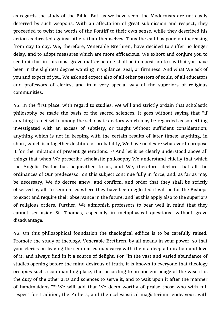as regards the study of the Bible. But, as we have seen, the Modernists are not easily deterred by such weapons. With an affectation of great submission and respect, they proceeded to twist the words of the Pontiff to their own sense, while they described his action as directed against others than themselves. Thus the evil has gone on increasing from day to day. We, therefore, Venerable Brethren, have decided to suffer no longer delay, and to adopt measures which are more efficacious. We exhort and conjure you to see to it that in this most grave matter no one shall be in a position to say that you have been in the slightest degree wanting in vigilance, zeal, or firmness. And what We ask of you and expect of you, We ask and expect also of all other pastors of souls, of all educators and professors of clerics, and in a very special way of the superiors of religious communities.

45. In the first place, with regard to studies, We will and strictly ordain that scholastic philosophy be made the basis of the sacred sciences. It goes without saying that "if anything is met with among the scholastic doctors which may be regarded as something investigated with an excess of subtlety, or taught without sufficient consideration; anything which is not in keeping with the certain results of later times; anything, in short, which is altogether destitute of probability, We have no desire whatever to propose it for the imitation of present generations."<sup>24</sup> And let it be clearly understood above all things that when We prescribe scholastic philosophy We understand chiefly that which the Angelic Doctor has bequeathed to us, and We, therefore, declare that all the ordinances of Our predecessor on this subject continue fully in force, and, as far as may be necessary, We do decree anew, and confirm, and order that they shall be strictly observed by all. In seminaries where they have been neglected it will be for the Bishops to exact and require their observance in the future; and let this apply also to the superiors of religious orders. Further, We admonish professors to bear well in mind that they cannot set aside St. Thomas, especially in metaphysical questions, without grave disadvantage.

46. On this philosophical foundation the theological edifice is to be carefully raised. Promote the study of theology, Venerable Brethren, by all means in your power, so that your clerics on leaving the seminaries may carry with them a deep admiration and love of it, and always find in it a source of delight. For "in the vast and varied abundance of studies opening before the mind desirous of truth, it is known to everyone that theology occupies such a commanding place, that according to an ancient adage of the wise it is the duty of the other arts and sciences to serve it, and to wait upon it after the manner of handmaidens."<sup>25</sup> We will add that We deem worthy of praise those who with full respect for tradition, the Fathers, and the ecclesiastical magisterium, endeavour, with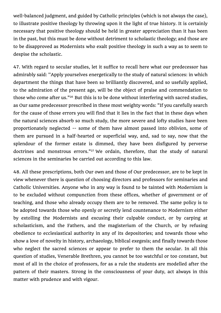well-balanced judgment, and guided by Catholic principles (which is not always the case), to illustrate positive theology by throwing upon it the light of true history. It is certainly necessary that positive theology should be held in greater appreciation than it has been in the past, but this must be done without detriment to scholastic theology; and those are to be disapproved as Modernists who exalt positive theology in such a way as to seem to despise the scholastic.

47. With regard to secular studies, let it suffice to recall here what our predecessor has admirably said: ''Apply yourselves energetically to the study of natural sciences: in which department the things that have been so brilliantly discovered, and so usefully applied, to the admiration of the present age, will be the object of praise and commendation to those who come after us."<sup>26</sup> But this is to be done without interfering with sacred studies, as Our same predecessor prescribed in these most weighty words: "If you carefully search for the cause of those errors you will find that it lies in the fact that in these days when the natural sciences absorb so much study, the more severe and lofty studies have been proportionately neglected -- some of them have almost passed into oblivion, some of them are pursued in a half-hearted or superficial way, and, sad to say, now that the splendour of the former estate is dimmed, they have been disfigured by perverse doctrines and monstrous errors."<sup>27</sup> We ordain, therefore, that the study of natural sciences in the seminaries be carried out according to this law.

48. All these prescriptions, both Our own and those of Our predecessor, are to be kept in view whenever there is question of choosing directors and professors for seminaries and Catholic Universities. Anyone who in any way is found to be tainted with Modernism is to be excluded without compunction from these offices, whether of government or of teaching, and those who already occupy them are to be removed. The same policy is to be adopted towards those who openly or secretly lend countenance to Modernism either by extolling the Modernists and excusing their culpable conduct, or by carping at scholasticism, and the Fathers, and the magisterium of the Church, or by refusing obedience to ecclesiastical authority in any of its depositories; and towards those who show a love of novelty in history, archaeology, biblical exegesis; and finally towards those who neglect the sacred sciences or appear to prefer to them the secular. In all this question of studies, Venerable Brethren, you cannot be too watchful or too constant, but most of all in the choice of professors, for as a rule the students are modelled after the pattern of their masters. Strong in the consciousness of your duty, act always in this matter with prudence and with vigour.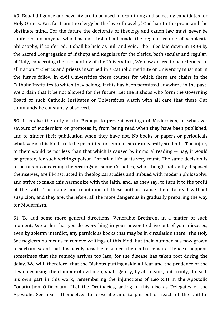49. Equal diligence and severity are to be used in examining and selecting candidates for Holy Orders. Far, far from the clergy be the love of novelty! God hateth the proud and the obstinate mind. For the future the doctorate of theology and canon law must never be conferred on anyone who has not first of all made the regular course of scholastic philosophy; if conferred, it shall be held as null and void. The rules laid down in 1896 by the Sacred Congregation of Bishops and Regulars for the clerics, both secular and regular, of Italy, concerning the frequenting of the Universities, We now decree to be extended to all nation.<sup>28</sup> Clerics and priests inscribed in a Catholic Institute or University must not in the future follow in civil Universities those courses for which there are chairs in the Catholic Institutes to which they belong. If this has been permitted anywhere in the past, We ordain that it be not allowed for the future. Let the Bishops who form the Governing Board of such Catholic Institutes or Universities watch with all care that these Our commands be constantly observed.

50. It is also the duty of the Bishops to prevent writings of Modernists, or whatever savours of Modernism or promotes it, from being read when they have been published, and to hinder their publication when they have not. No books or papers or periodicals whatever of this kind are to be permitted to seminarists or university students. The injury to them would be not less than that which is caused by immoral reading -- nay, it would be greater, for such writings poison Christian life at its very fount. The same decision is to be taken concerning the writings of some Catholics, who, though not evilly disposed themselves, are ill-instructed in theological studies and imbued with modern philosophy, and strive to make this harmonize with the faith, and, as they say, to turn it to the profit of the faith. The name and reputation of these authors cause them to read without suspicion, and they are, therefore, all the more dangerous in gradually preparing the way for Modernism.

51. To add some more general directions, Venerable Brethren, in a matter of such moment, We order that you do everything in your power to drive out of your dioceses, even by solemn interdict, any pernicious books that may be in circulation there. The Holy See neglects no means to remove writings of this kind, but their number has now grown to such an extent that it is hardly possible to subject them all to censure. Hence it happens sometimes that the remedy arrives too late, for the disease has taken root during the delay. We will, therefore, that the Bishops putting aside all fear and the prudence of the flesh, despising the clamour of evil men, shall, gently, by all means, but firmly, do each his own part in this work, remembering the injunctions of Leo XIII in the Apostolic Constitution Officiorum: "Let the Ordinaries, acting in this also as Delegates of the Apostolic See, exert themselves to proscribe and to put out of reach of the faithful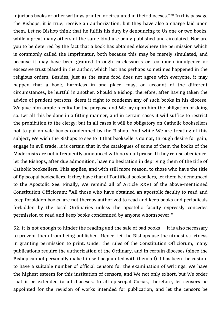injurious books or other writings printed or circulated in their dioceses."<sup>29</sup> In this passage the Bishops, it is true, receive an authorization, but they have also a charge laid upon them. Let no Bishop think that he fulfils his duty by denouncing to Us one or two books, while a great many others of the same kind are being published and circulated. Nor are you to be deterred by the fact that a book has obtained elsewhere the permission which is commonly called the Imprimatur, both because this may be merely simulated, and because it may have been granted through carelessness or too much indulgence or excessive trust placed in the author, which last has perhaps sometimes happened in the religious orders. Besides, just as the same food does not agree with everyone, it may happen that a book, harmless in one place, may, on account of the different circumstances, be hurtful in another. Should a Bishop, therefore, after having taken the advice of prudent persons, deem it right to condemn any of such books in his diocese, We give him ample faculty for the purpose and We lay upon him the obligation of doing so. Let all this be done in a fitting manner, and in certain cases it will suffice to restrict the prohibition to the clergy; but in all cases it will be obligatory on Catholic booksellers not to put on sale books condemned by the Bishop. And while We are treating of this subject, We wish the Bishops to see to it that booksellers do not, through desire for gain, engage in evil trade. It is certain that in the catalogues of some of them the books of the Modernists are not infrequently announced with no small praise. If they refuse obedience, let the Bishops, after due admonition, have no hesitation in depriving them of the title of Catholic booksellers. This applies, and with still more reason, to those who have the title of Episcopal booksellers. If they have that of Pontifical booksellers, let them be denounced to the Apostolic See. Finally, We remind all of Article XXVI of the above-mentioned Constitution Officiorum: "All those who have obtained an apostolic faculty to read and keep forbidden books, are not thereby authorized to read and keep books and periodicals forbidden by the local Ordinaries unless the apostolic faculty expressly concedes permission to read and keep books condemned by anyone whomsoever."

52. It is not enough to hinder the reading and the sale of bad books -- it is also necessary to prevent them from being published. Hence, let the Bishops use the utmost strictness in granting permission to print. Under the rules of the Constitution Officiorum, many publications require the authorization of the Ordinary, and in certain dioceses (since the Bishop cannot personally make himself acquainted with them all) it has been the custom to have a suitable number of official censors for the examination of writings. We have the highest esteem for this institution of censors, and We not only exhort, but We order that it be extended to all dioceses. In all episcopal Curias, therefore, let censors be appointed for the revision of works intended for publication, and let the censors be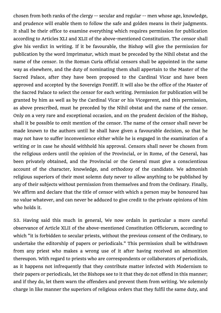chosen from both ranks of the clergy -- secular and regular -- men whose age, knowledge, and prudence will enable them to follow the safe and golden means in their judgments. It shall be their office to examine everything which requires permission for publication according to Articles XLI and XLII of the above-mentioned Constitution. The censor shall give his verdict in writing. If it be favourable, the Bishop will give the permission for publication by the word Imprimatur, which must be preceded by the Nihil obstat and the name of the censor. In the Roman Curia official censors shall be appointed in the same way as elsewhere, and the duty of nominating them shall appertain to the Master of the Sacred Palace, after they have been proposed to the Cardinal Vicar and have been approved and accepted by the Sovereign Pontiff. It will also be the office of the Master of the Sacred Palace to select the censor for each writing. Permission for publication will be granted by him as well as by the Cardinal Vicar or his Vicegerent, and this permission, as above prescribed, must he preceded by the Nihil obstat and the name of the censor. Only on a very rare and exceptional occasion, and on the prudent decision of the Bishop, shall it be possible to omit mention of the censor. The name of the censor shall never be made known to the authors until he shall have given a favourable decision, so that he may not have to suffer inconvenience either while he is engaged in the examination of a writing or in case he should withhold his approval. Censors shall never be chosen from the religious orders until the opinion of the Provincial, or in Rome, of the General, has been privately obtained, and the Provincial or the General must give a conscientious account of the character, knowledge, and orthodoxy of the candidate. We admonish religious superiors of their most solemn duty never to allow anything to be published by any of their subjects without permission from themselves and from the Ordinary. Finally, We affirm and declare that the title of censor with which a person may be honoured has no value whatever, and can never be adduced to give credit to the private opinions of him who holds it.

53. Having said this much in general, We now ordain in particular a more careful observance of Article XLII of the above-mentioned Constitution Officiorum, according to which "it is forbidden to secular priests, without the previous consent of the Ordinary, to undertake the editorship of papers or periodicals." This permission shall be withdrawn from any priest who makes a wrong use of it after having received an admonition thereupon. With regard to priests who are correspondents or collaborators of periodicals, as it happens not infrequently that they contribute matter infected with Modernism to their papers or periodicals, let the Bishops see to it that they do not offend in this manner; and if they do, let them warn the offenders and prevent them from writing. We solemnly charge in like manner the superiors of religious orders that they fulfil the same duty, and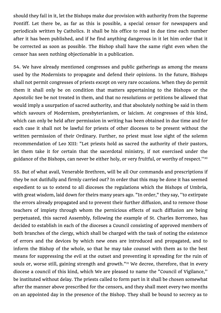should they fail in it, let the Bishops make due provision with authority from the Supreme Pontiff. Let there be, as far as this is possible, a special censor for newspapers and periodicals written by Catholics. It shall be his office to read in due time each number after it has been published, and if he find anything dangerous in it let him order that it be corrected as soon as possible. The Bishop shall have the same right even when the censor has seen nothing objectionable in a publication.

54. We have already mentioned congresses and public gatherings as among the means used by the Modernists to propagate and defend their opinions. In the future, Bishops shall not permit congresses of priests except on very rare occasions. When they do permit them it shall only be on condition that matters appertaining to the Bishops or the Apostolic See be not treated in them, and that no resolutions or petitions be allowed that would imply a usurpation of sacred authority, and that absolutely nothing be said in them which savours of Modernism, presbyterianism, or laicism. At congresses of this kind, which can only be held after permission in writing has been obtained in due time and for each case it shall not be lawful for priests of other dioceses to be present without the written permission of their Ordinary. Further, no priest must lose sight of the solemn recommendation of Leo XIII: "Let priests hold as sacred the authority of their pastors, let them take it for certain that the sacerdotal ministry, if not exercised under the guidance of the Bishops, can never be either holy, or very fruitful, or worthy of respect.''<sup>30</sup>

55. But of what avail, Venerable Brethren, will be all Our commands and prescriptions if they be not dutifully and firmly carried out? In order that this may be done it has seemed expedient to us to extend to all dioceses the regulations which the Bishops of Umbria, with great wisdom, laid down for theirs many years ago. "In order," they say, ''to extirpate the errors already propagated and to prevent their further diffusion, and to remove those teachers of impiety through whom the pernicious effects of such diffusion are being perpetuated, this sacred Assembly, following the example of St. Charles Borromeo, has decided to establish in each of the dioceses a Council consisting of approved members of both branches of the clergy, which shall be charged with the task of noting the existence of errors and the devices by which new ones are introduced and propagated, and to inform the Bishop of the whole, so that he may take counsel with them as to the best means for suppressing the evil at the outset and preventing it spreading for the ruin of souls or, worse still, gaining strength and growth."<sup>31</sup> We decree, therefore, that in every diocese a council of this kind, which We are pleased to name the "Council of Vigilance,'' be instituted without delay. The priests called to form part in it shall be chosen somewhat after the manner above prescribed for the censors, and they shall meet every two months on an appointed day in the presence of the Bishop. They shall be bound to secrecy as to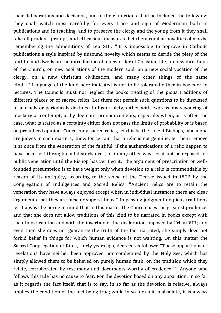their deliberations and decisions, and in their functions shall be included the following: they shall watch most carefully for every trace and sign of Modernism both in publications and in teaching, and to preserve the clergy and the young from it they shall take all prudent, prompt, and efficacious measures. Let them combat novelties of words, remembering the admonitions of Leo XIII: "It is impossible to approve in Catholic publications a style inspired by unsound novelty which seems to deride the piety of the faithful and dwells on the introduction of a new order of Christian life, on new directions of the Church, on new aspirations of the modern soul, on a new social vocation of the clergy, on a new Christian civilization, and many other things of the same kind."<sup>32</sup> Language of the kind here indicated is not to be tolerated either in books or in lectures. The Councils must not neglect the books treating of the pious traditions of different places or of sacred relics. Let them not permit such questions to be discussed in journals or periodicals destined to foster piety, either with expressions savouring of mockery or contempt, or by dogmatic pronouncements, especially when, as is often the case, what is stated as a certainty either does not pass the limits of probability or is based on prejudiced opinion. Concerning sacred relics, let this be the rule: if Bishops, who alone are judges in such matters, know for certain that a relic is not genuine, let them remove it at once from the veneration of the faithful; if the authentications of a relic happen to have been lost through civil disturbances, or in any other way, let it not be exposed for public veneration until the Bishop has verified it. The argument of prescription or wellfounded presumption is to have weight only when devotion to a relic is commendable by reason of its antiquity, according to the sense of the Decree issued in 1896 by the Congregation of Indulgences and Sacred Relics: "Ancient relics are to retain the veneration they have always enjoyed except when in individual instances there are clear arguments that they are false or superstitious." In passing judgment on pious traditions let it always be borne in mind that in this matter the Church uses the greatest prudence, and that she does not allow traditions of this kind to be narrated in books except with the utmost caution and with the insertion of the declaration imposed by Urban VIII; and even then she does not guarantee the truth of the fact narrated; she simply does not forbid belief in things for which human evidence is not wanting. On this matter the Sacred Congregation of Rites, thirty years ago, decreed as follows: "These apparitions or revelations have neither been approved nor condemned by the Holy See, which has simply allowed them to be believed on purely human faith, on the tradition which they relate, corroborated by testimony and documents worthy of credence."<sup>33</sup> Anyone who follows this rule has no cause to fear. For the devotion based on any apparition, in so far as it regards the fact itself, that is to say, in so far as the devotion is relative, always implies the condition of the fact being true; while in so far as it is absolute, it is always